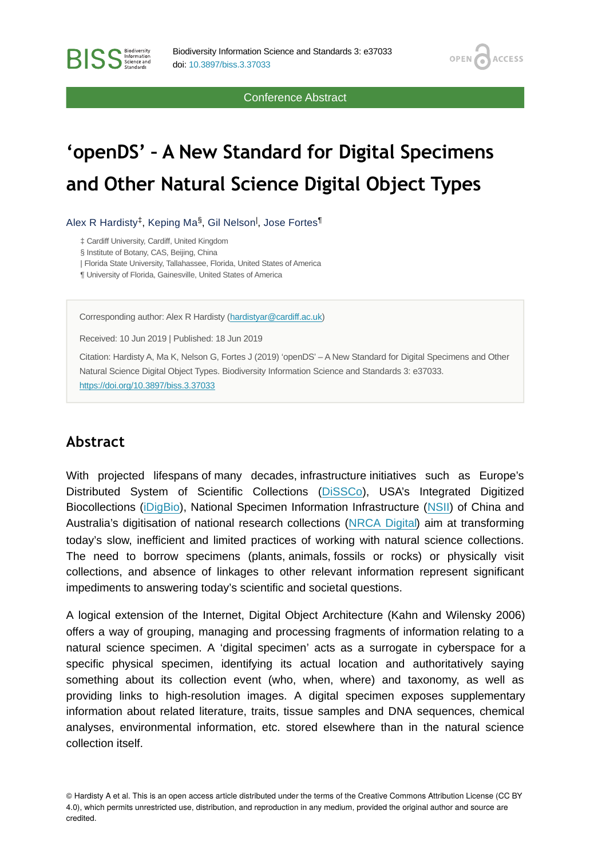Conference Abstract

OPEN /

**ACCESS** 

# **'openDS' – A New Standard for Digital Specimens and Other Natural Science Digital Object Types**

Alex R Hardisty<sup>‡</sup>, Keping Ma<sup>§</sup>, Gil Nelson<sup>|</sup>, Jose Fortes<sup>¶</sup>

‡ Cardiff University, Cardiff, United Kingdom

§ Institute of Botany, CAS, Beijing, China

**BISS** Steince and

| Florida State University, Tallahassee, Florida, United States of America

¶ University of Florida, Gainesville, United States of America

Corresponding author: Alex R Hardisty [\(hardistyar@cardiff.ac.uk](mailto:hardistyar@cardiff.ac.uk))

Received: 10 Jun 2019 | Published: 18 Jun 2019

Citation: Hardisty A, Ma K, Nelson G, Fortes J (2019) 'openDS' – A New Standard for Digital Specimens and Other Natural Science Digital Object Types. Biodiversity Information Science and Standards 3: e37033. <https://doi.org/10.3897/biss.3.37033>

## **Abstract**

With projected lifespans of many decades, infrastructure initiatives such as Europe's Distributed System of Scientific Collections ([DiSSCo](https://dissco.eu/)), USA's Integrated Digitized Biocollections ([iDigBio](https://www.idigbio.org/)), National Specimen Information Infrastructure ([NSII](http://www.nsii.org.cn/2017/home-en.php)) of China and Australia's digitisation of national research collections [\(NRCA Digital\)](https://www.csiro.au/en/Showcase/NRCA) aim at transforming today's slow, inefficient and limited practices of working with natural science collections. The need to borrow specimens (plants, animals, fossils or rocks) or physically visit collections, and absence of linkages to other relevant information represent signicant impediments to answering today's scientific and societal questions.

A logical extension of the Internet, Digital Object Architecture (Kahn and Wilensky 2006) offers a way of grouping, managing and processing fragments of information relating to a natural science specimen. A 'digital specimen' acts as a surrogate in cyberspace for a specific physical specimen, identifying its actual location and authoritatively saying something about its collection event (who, when, where) and taxonomy, as well as providing links to high-resolution images. A digital specimen exposes supplementary information about related literature, traits, tissue samples and DNA sequences, chemical analyses, environmental information, etc. stored elsewhere than in the natural science collection itself.

© Hardisty A et al. This is an open access article distributed under the terms of the Creative Commons Attribution License (CC BY 4.0), which permits unrestricted use, distribution, and reproduction in any medium, provided the original author and source are credited.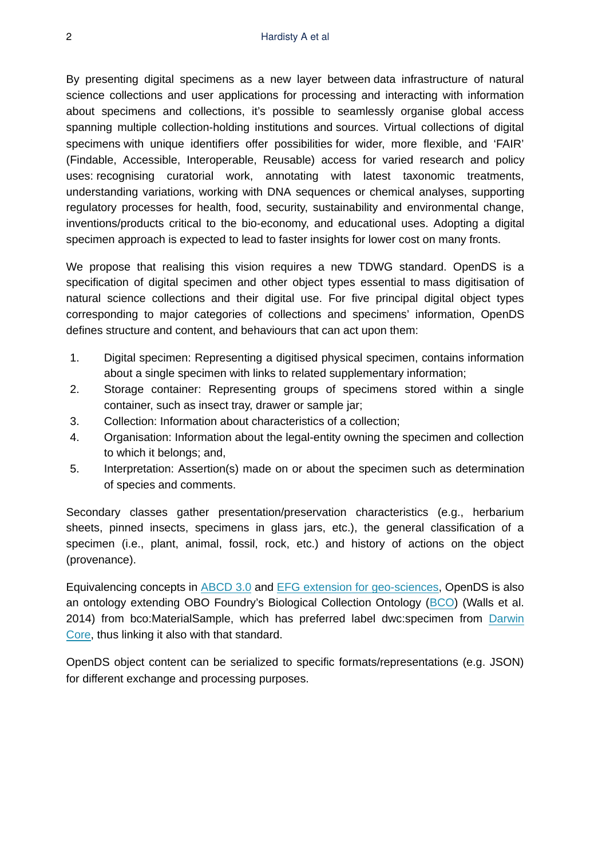By presenting digital specimens as a new layer between data infrastructure of natural science collections and user applications for processing and interacting with information about specimens and collections, it's possible to seamlessly organise global access spanning multiple collection-holding institutions and sources. Virtual collections of digital specimens with unique identifiers offer possibilities for wider, more flexible, and 'FAIR' (Findable, Accessible, Interoperable, Reusable) access for varied research and policy uses: recognising curatorial work, annotating with latest taxonomic treatments, understanding variations, working with DNA sequences or chemical analyses, supporting regulatory processes for health, food, security, sustainability and environmental change, inventions/products critical to the bio-economy, and educational uses. Adopting a digital specimen approach is expected to lead to faster insights for lower cost on many fronts.

We propose that realising this vision requires a new TDWG standard. OpenDS is a specification of digital specimen and other object types essential to mass digitisation of natural science collections and their digital use. For five principal digital object types corresponding to major categories of collections and specimens' information, OpenDS defines structure and content, and behaviours that can act upon them:

- 1. Digital specimen: Representing a digitised physical specimen, contains information about a single specimen with links to related supplementary information;
- 2. Storage container: Representing groups of specimens stored within a single container, such as insect tray, drawer or sample jar;
- 3. Collection: Information about characteristics of a collection;
- 4. Organisation: Information about the legal-entity owning the specimen and collection to which it belongs; and,
- 5. Interpretation: Assertion(s) made on or about the specimen such as determination of species and comments.

Secondary classes gather presentation/preservation characteristics (e.g., herbarium sheets, pinned insects, specimens in glass jars, etc.), the general classification of a specimen (i.e., plant, animal, fossil, rock, etc.) and history of actions on the object (provenance).

Equivalencing concepts in [ABCD 3.0](https://abcd.tdwg.org/) and [EFG extension for geo-sciences,](http://www.geocase.eu/efg) OpenDS is also an ontology extending OBO Foundry's Biological Collection Ontology [\(BCO\)](http://www.obofoundry.org/ontology/bco.html) (Walls et al. 2014) from bco:MaterialSample, which has preferred label dwc:specimen from [Darwin](https://dwc.tdwg.org/) [Core,](https://dwc.tdwg.org/) thus linking it also with that standard.

OpenDS object content can be serialized to specific formats/representations (e.g. JSON) for different exchange and processing purposes.